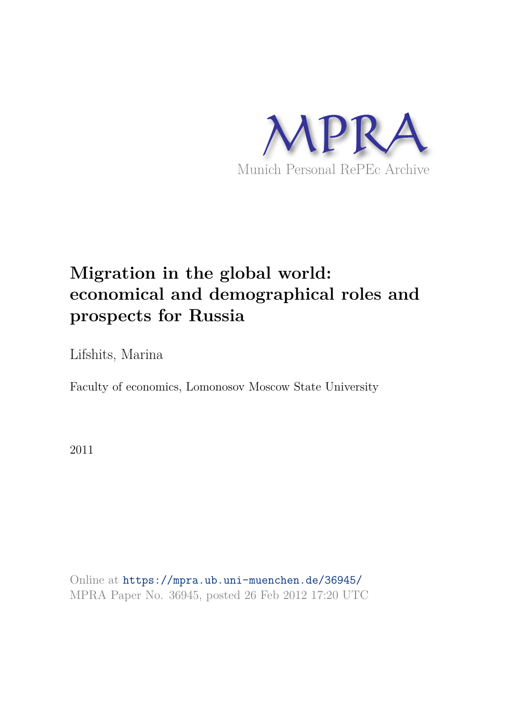

# **Migration in the global world: economical and demographical roles and prospects for Russia**

Lifshits, Marina

Faculty of economics, Lomonosov Moscow State University

2011

Online at https://mpra.ub.uni-muenchen.de/36945/ MPRA Paper No. 36945, posted 26 Feb 2012 17:20 UTC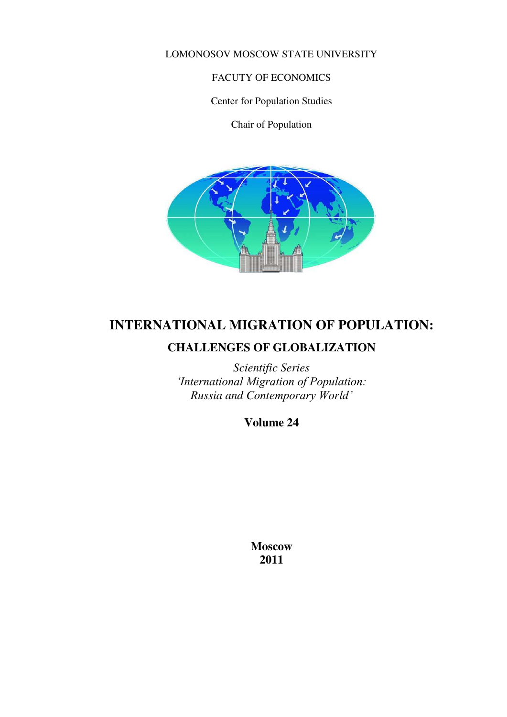LOMONOSOV MOSCOW STATE UNIVERSITY

#### FACUTY OF ECONOMICS

Center for Population Studies

Chair of Population



# **INTERNATIONAL MIGRATION OF POPULATION: CHALLENGES OF GLOBALIZATION**

*Scientific Series 'International Migration of Population: Russia and Contemporary World'*

**Volume 24** 

**Moscow 2011**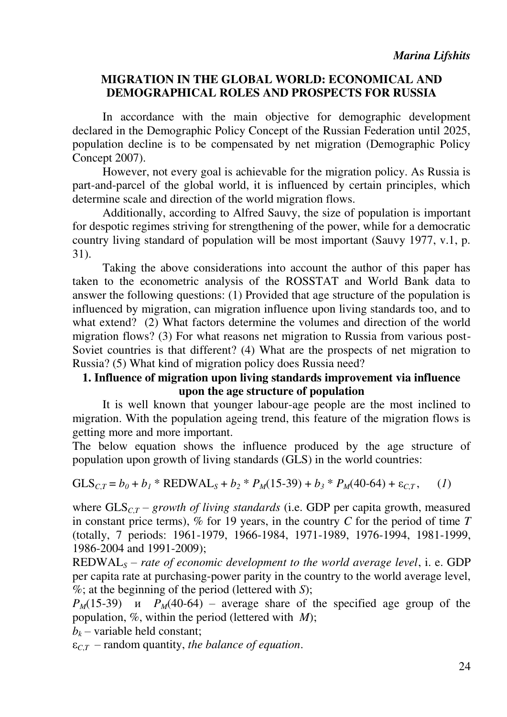# **MIGRATION IN THE GLOBAL WORLD: ECONOMICAL AND DEMOGRAPHICAL ROLES AND PROSPECTS FOR RUSSIA**

In accordance with the main objective for demographic development declared in the Demographic Policy Concept of the Russian Federation until 2025, population decline is to be compensated by net migration (Demographic Policy Concept 2007).

However, not every goal is achievable for the migration policy. As Russia is part-and-parcel of the global world, it is influenced by certain principles, which determine scale and direction of the world migration flows.

Additionally, according to Alfred Sauvy, the size of population is important for despotic regimes striving for strengthening of the power, while for a democratic country living standard of population will be most important (Sauvy 1977, v.1, p. 31).

Taking the above considerations into account the author of this paper has taken to the econometric analysis of the ROSSTAT and World Bank data to answer the following questions: (1) Provided that age structure of the population is influenced by migration, can migration influence upon living standards too, and to what extend? (2) What factors determine the volumes and direction of the world migration flows? (3) For what reasons net migration to Russia from various post-Soviet countries is that different? (4) What are the prospects of net migration to Russia? (5) What kind of migration policy does Russia need?

# **1. Influence of migration upon living standards improvement via influence upon the age structure of population**

It is well known that younger labour-age people are the most inclined to migration. With the population ageing trend, this feature of the migration flows is getting more and more important.

The below equation shows the influence produced by the age structure of population upon growth of living standards (GLS) in the world countries:

$$
GLS_{C,T} = b_0 + b_1 * REDWAL_S + b_2 * P_M(15-39) + b_3 * P_M(40-64) + \varepsilon_{C,T}, \quad (1)
$$

where  $GLS<sub>CT</sub>$  – *growth of living standards* (i.e. GDP per capita growth, measured in constant price terms),  $\%$  for 19 years, in the country *C* for the period of time *T* (totally, 7 periods: 1961-1979, 1966-1984, 1971-1989, 1976-1994, 1981-1999, 1986-2004 and 1991-2009);

REDWAL*<sup>S</sup>* – *rate of economic development to the world average level*, i. e. GDP per capita rate at purchasing-power parity in the country to the world average level, %; at the beginning of the period (lettered with *S*);

 $P_M(15-39)$  *u*  $P_M(40-64)$  – average share of the specified age group of the population, %, within the period (lettered with *M*);

 $b_k$  – variable held constant;

 $\varepsilon_{CT}$  – random quantity, *the balance of equation*.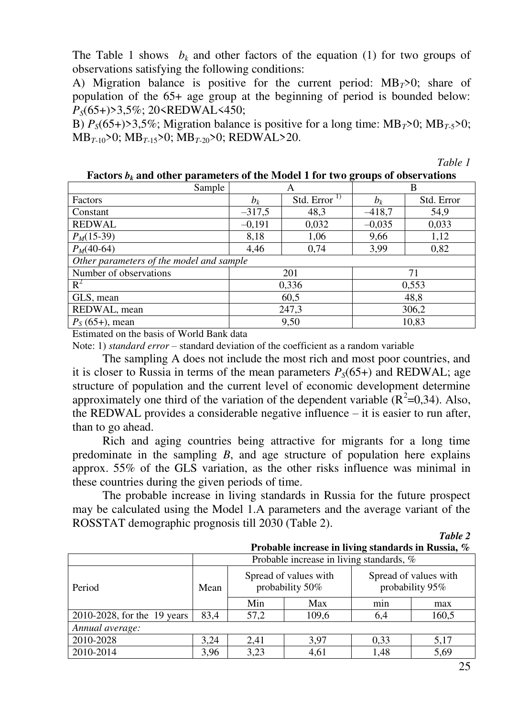The Table 1 shows  $b_k$  and other factors of the equation (1) for two groups of observations satisfying the following conditions:

A) Migration balance is positive for the current period:  $MB_T>0$ ; share of population of the 65+ age group at the beginning of period is bounded below: *PS*(65+)>3,5%; 20<REDWAL<450;

B)  $P_s(65+) > 3,5\%$ ; Migration balance is positive for a long time: MB<sub>T</sub> $>0$ ; MB<sub>T-5</sub> $>0$ ; MB*<sup>T</sup>*-10>0; MB*<sup>T</sup>*-15>0; MB*<sup>T</sup>*-20>0; REDWAL>20.

*Table 1* 

| Sample                                   |                            | A     | B        |            |  |  |
|------------------------------------------|----------------------------|-------|----------|------------|--|--|
| Factors                                  | Std. Error $^{1}$<br>$b_k$ |       | $b_k$    | Std. Error |  |  |
| Constant                                 | $-317,5$                   | 48,3  | $-418,7$ | 54,9       |  |  |
| <b>REDWAL</b>                            | $-0,191$                   | 0,032 | $-0,035$ | 0,033      |  |  |
| $P_M(15-39)$                             | 8,18                       | 1,06  | 9,66     | 1,12       |  |  |
| $P_M(40-64)$                             | 4,46<br>0,74<br>3,99       |       | 0,82     |            |  |  |
| Other parameters of the model and sample |                            |       |          |            |  |  |
| Number of observations                   |                            | 201   | 71       |            |  |  |
| $R^2$                                    | 0,336<br>0,553             |       |          |            |  |  |
| GLS, mean                                | 60,5<br>48,8               |       |          |            |  |  |
| REDWAL, mean                             | 247,3<br>306,2             |       |          |            |  |  |
| $P_S(65+)$ , mean                        | 9,50<br>10,83              |       |          |            |  |  |

**Factors**  $b_k$  **and other parameters of the Model 1 for two groups of observations** 

Estimated on the basis of World Bank data

Note: 1) *standard error* – standard deviation of the coefficient as a random variable

The sampling A does not include the most rich and most poor countries, and it is closer to Russia in terms of the mean parameters  $P_S(65+)$  and REDWAL; age structure of population and the current level of economic development determine approximately one third of the variation of the dependent variable  $(R^2=0,34)$ . Also, the REDWAL provides a considerable negative influence – it is easier to run after, than to go ahead.

Rich and aging countries being attractive for migrants for a long time predominate in the sampling *B*, and age structure of population here explains approx. 55% of the GLS variation, as the other risks influence was minimal in these countries during the given periods of time.

The probable increase in living standards in Russia for the future prospect may be calculated using the Model 1.A parameters and the average variant of the ROSSTAT demographic prognosis till 2030 (Table 2).

*Table 2* 

|  |  |  |  | Probable increase in living standards in Russia, $\%$ |  |  |  |
|--|--|--|--|-------------------------------------------------------|--|--|--|
|--|--|--|--|-------------------------------------------------------|--|--|--|

|                             | Probable increase in living standards, % |      |                                          |                                          |       |  |  |
|-----------------------------|------------------------------------------|------|------------------------------------------|------------------------------------------|-------|--|--|
| Period                      | Mean                                     |      | Spread of values with<br>probability 50% | Spread of values with<br>probability 95% |       |  |  |
|                             |                                          | Min  | Max                                      | min                                      | max   |  |  |
| 2010-2028, for the 19 years | 83,4                                     | 57,2 | 109,6                                    | 6,4                                      | 160,5 |  |  |
| Annual average:             |                                          |      |                                          |                                          |       |  |  |
| 2010-2028                   | 3,24                                     | 2,41 | 3,97                                     | 0,33                                     | 5,17  |  |  |
| 2010-2014                   | 3,96                                     | 3,23 | 4,61                                     | 1,48                                     | 5,69  |  |  |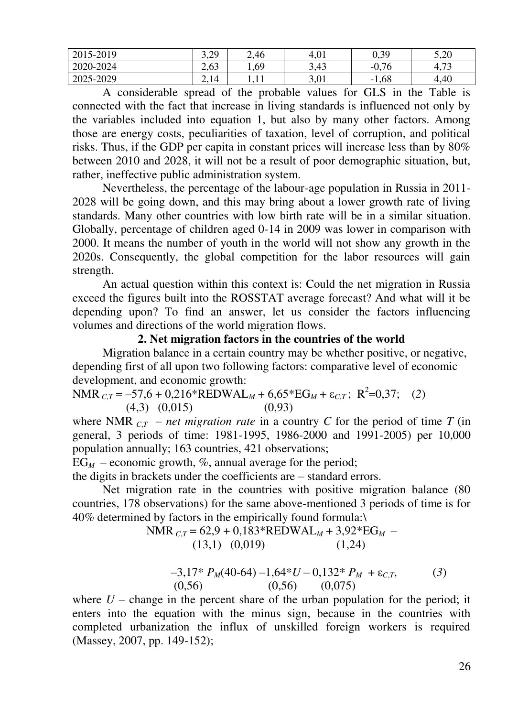| 2015-2019 | 3.20<br>رے ک | 2,46 | 4,01         | 0,39                             | 5,20               |
|-----------|--------------|------|--------------|----------------------------------|--------------------|
| 2020-2024 | 2,63         | 1,69 | 3,43         | $-0,76$                          | $\sqrt{2}$<br>4.13 |
| 2025-2029 | 2,14         |      | 3 በ1<br>J, U | 1,68<br>$\overline{\phantom{0}}$ | 4,40               |

A considerable spread of the probable values for GLS in the Table is connected with the fact that increase in living standards is influenced not only by the variables included into equation 1, but also by many other factors. Among those are energy costs, peculiarities of taxation, level of corruption, and political risks. Thus, if the GDP per capita in constant prices will increase less than by 80% between 2010 and 2028, it will not be a result of poor demographic situation, but, rather, ineffective public administration system.

Nevertheless, the percentage of the labour-age population in Russia in 2011- 2028 will be going down, and this may bring about a lower growth rate of living standards. Many other countries with low birth rate will be in a similar situation. Globally, percentage of children aged 0-14 in 2009 was lower in comparison with 2000. It means the number of youth in the world will not show any growth in the 2020s. Consequently, the global competition for the labor resources will gain strength.

An actual question within this context is: Could the net migration in Russia exceed the figures built into the ROSSTAT average forecast? And what will it be depending upon? To find an answer, let us consider the factors influencing volumes and directions of the world migration flows.

#### **2. Net migration factors in the countries of the world**

Migration balance in a certain country may be whether positive, or negative, depending first of all upon two following factors: comparative level of economic development, and economic growth:

 $NMR_{C,T} = -57.6 + 0.216*REDWAL_M + 6.65*EG_M + \varepsilon_{C,T}; R^2=0.37;$  (2) (4,3) (0,015) (0,93)

where NMR<sub>*CT*</sub> – *net migration rate* in a country *C* for the period of time *T* (in general, 3 periods of time: 1981-1995, 1986-2000 and 1991-2005) per 10,000 population annually; 163 countries, 421 observations;

 $EG<sub>M</sub>$  – economic growth, %, annual average for the period;

the digits in brackets under the coefficients are – standard errors.

Net migration rate in the countries with positive migration balance (80 countries, 178 observations) for the same above-mentioned 3 periods of time is for 40% determined by factors in the empirically found formula:\

NMR 
$$
c_{,T} = 62.9 + 0.183 \cdot \text{REDWAL}_M + 3.92 \cdot \text{EG}_M - (13.1) (0.019) (1.24)
$$

$$
-3,17^* P_M(40-64) -1,64^* U - 0,132^* P_M + \varepsilon_{C,T},
$$
  
(0,56) (0,56) (0,075)

where  $U$  – change in the percent share of the urban population for the period; it enters into the equation with the minus sign, because in the countries with completed urbanization the influx of unskilled foreign workers is required (Massey, 2007, pp. 149-152);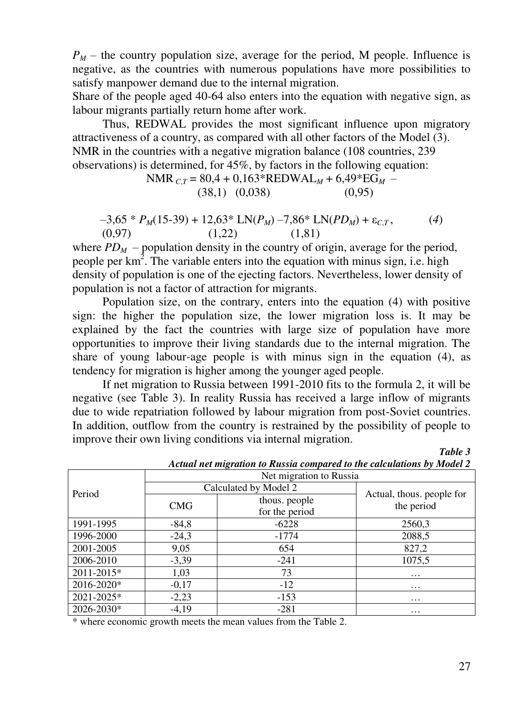$P_M$  – the country population size, average for the period, M people. Influence is negative, as the countries with numerous populations have more possibilities to satisfy manpower demand due to the internal migration.

Share of the people aged 40-64 also enters into the equation with negative sign, as labour migrants partially return home after work.

Thus, REDWAL provides the most significant influence upon migratory attractiveness of a country, as compared with all other factors of the Model (3). NMR in the countries with a negative migration balance (108 countries, 239 observations) is determined, for 45%, by factors in the following equation:

NMR 
$$
_{C,T}
$$
 = 80,4 + 0,163\*REDWAL<sub>M</sub> + 6,49\*EG<sub>M</sub> -  
(38,1) (0,038) (0,95)

$$
-3,65 * PM(15-39) + 12,63 * LN(PM) - 7,86 * LN(PDM) + \varepsilonC,T, \t(4)(0,97) \t(1,22) \t(1,81)
$$

where  $PD_M$  – population density in the country of origin, average for the period, people per  $km^2$ . The variable enters into the equation with minus sign, i.e. high density of population is one of the ejecting factors. Nevertheless, lower density of population is not a factor of attraction for migrants.

Population size, on the contrary, enters into the equation (4) with positive sign: the higher the population size, the lower migration loss is. It may be explained by the fact the countries with large size of population have more opportunities to improve their living standards due to the internal migration. The share of young labour-age people is with minus sign in the equation (4), as tendency for migration is higher among the younger aged people.

If net migration to Russia between 1991-2010 fits to the formula 2, it will be negative (see Table 3). In reality Russia has received a large inflow of migrants due to wide repatriation followed by labour migration from post-Soviet countries. In addition, outflow from the country is restrained by the possibility of people to improve their own living conditions via internal migration.

Period Net migration to Russia  $\frac{\text{Calculate to } y \text{ Model } 2}{\text{Actual, thus, people for}}$  $CMG$  thous. people the period the period for the period 1991-1995 | -84,8 | -6228 | 2560,3 1996-2000 | -24,3 | -1774 | 2088,5 2001-2005 9,05 654 827,2 2006-2010 -3,39 -241 1075,5  $2011 - 2015*$  1,03 73 ...  $2016-2020*$  -0,17 -12 -12 ...  $2021 - 2025^*$   $-2,23$   $-153$  ...  $2026 - 2030*$   $-4,19$   $-281$ 

*Actual net migration to Russia compared to the calculations by Model 2* 

\* where economic growth meets the mean values from the Table 2.

*Table 3*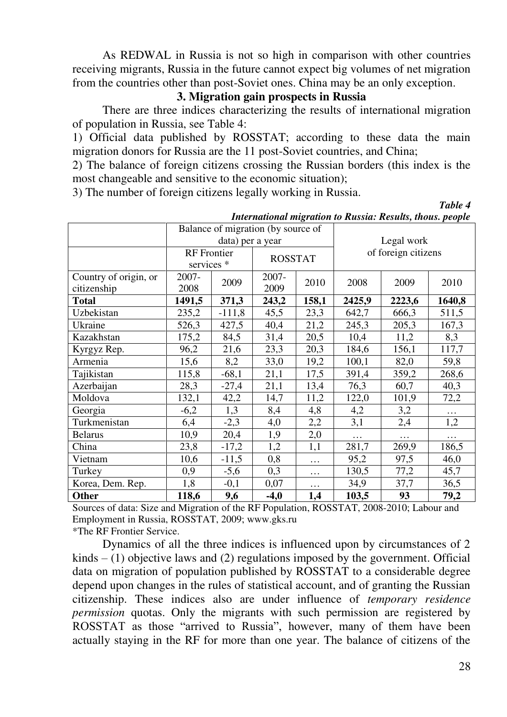As REDWAL in Russia is not so high in comparison with other countries receiving migrants, Russia in the future cannot expect big volumes of net migration from the countries other than post-Soviet ones. China may be an only exception.

#### **3. Migration gain prospects in Russia**

There are three indices characterizing the results of international migration of population in Russia, see Table 4:

1) Official data published by ROSSTAT; according to these data the main migration donors for Russia are the 11 post-Soviet countries, and China;

2) The balance of foreign citizens crossing the Russian borders (this index is the most changeable and sensitive to the economic situation);

3) The number of foreign citizens legally working in Russia.

|                       |        |                                                    | Balance of migration (by source of |            |                     |          |          |
|-----------------------|--------|----------------------------------------------------|------------------------------------|------------|---------------------|----------|----------|
|                       |        | data) per a year                                   |                                    | Legal work |                     |          |          |
|                       |        | <b>RF</b> Frontier<br><b>ROSSTAT</b><br>services * |                                    |            | of foreign citizens |          |          |
| Country of origin, or | 2007-  | 2009                                               | 2007-                              | 2010       | 2008                | 2009     | 2010     |
| citizenship           | 2008   |                                                    | 2009                               |            |                     |          |          |
| <b>Total</b>          | 1491,5 | 371,3                                              | 243,2                              | 158,1      | 2425,9              | 2223,6   | 1640,8   |
| Uzbekistan            | 235,2  | $-111,8$                                           | 45,5                               | 23,3       | 642,7               | 666,3    | 511,5    |
| Ukraine               | 526,3  | 427,5                                              | 40,4                               | 21,2       | 245,3               | 205,3    | 167,3    |
| Kazakhstan            | 175,2  | 84,5                                               | 31,4                               | 20,5       | 10,4                | 11,2     | 8,3      |
| Kyrgyz Rep.           | 96,2   | 21,6                                               | 23,3                               | 20,3       | 184,6               | 156,1    | 117,7    |
| Armenia               | 15,6   | 8,2                                                | 33,0                               | 19,2       | 100,1               | 82,0     | 59,8     |
| Tajikistan            | 115,8  | $-68,1$                                            | 21,1                               | 17,5       | 391,4               | 359,2    | 268,6    |
| Azerbaijan            | 28,3   | $-27,4$                                            | 21,1                               | 13,4       | 76,3                | 60,7     | 40,3     |
| Moldova               | 132,1  | 42,2                                               | 14,7                               | 11,2       | 122,0               | 101,9    | 72,2     |
| Georgia               | $-6,2$ | 1,3                                                | 8,4                                | 4,8        | 4,2                 | 3,2      | $\cdots$ |
| Turkmenistan          | 6,4    | $-2,3$                                             | 4,0                                | 2,2        | 3,1                 | 2,4      | 1,2      |
| <b>Belarus</b>        | 10,9   | 20,4                                               | 1,9                                | 2,0        | $\ldots$ .          | $\ddots$ | $\ldots$ |
| China                 | 23,8   | $-17,2$                                            | 1,2                                | 1,1        | 281,7               | 269,9    | 186,5    |
| Vietnam               | 10,6   | $-11,5$                                            | 0,8                                | $\cdots$   | 95,2                | 97,5     | 46,0     |
| Turkey                | 0,9    | $-5,6$                                             | 0,3                                | $\cdots$   | 130,5               | 77,2     | 45,7     |
| Korea, Dem. Rep.      | 1,8    | $-0,1$                                             | 0,07                               | $\ldots$   | 34,9                | 37,7     | 36,5     |
| <b>Other</b>          | 118,6  | 9,6                                                | $-4,0$                             | 1,4        | 103,5               | 93       | 79,2     |

*International migration to Russia: Results, thous. people* 

Sources of data: Size and Migration of the RF Population, ROSSTAT, 2008-2010; Labour and Employment in Russia, ROSSTAT, 2009; www.gks.ru \*The RF Frontier Service.

Dynamics of all the three indices is influenced upon by circumstances of 2  $kinds - (1)$  objective laws and  $(2)$  regulations imposed by the government. Official data on migration of population published by ROSSTAT to a considerable degree depend upon changes in the rules of statistical account, and of granting the Russian citizenship. These indices also are under influence of *temporary residence permission* quotas. Only the migrants with such permission are registered by ROSSTAT as those "arrived to Russia", however, many of them have been actually staying in the RF for more than one year. The balance of citizens of the

*Table 4*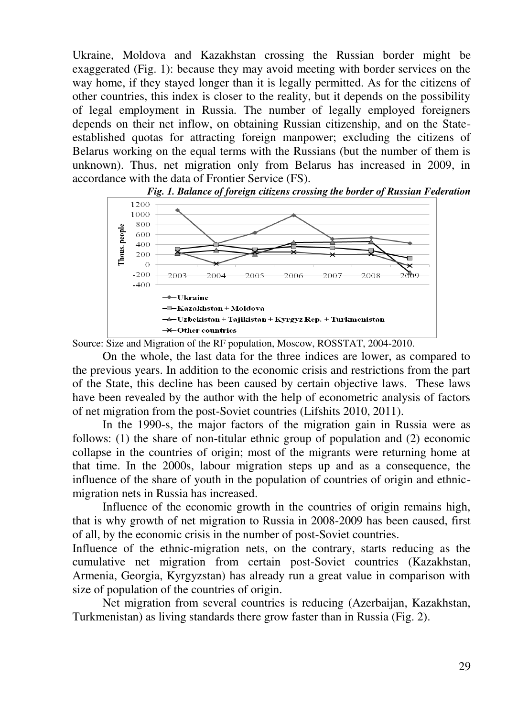Ukraine, Moldova and Kazakhstan crossing the Russian border might be exaggerated (Fig. 1): because they may avoid meeting with border services on the way home, if they stayed longer than it is legally permitted. As for the citizens of other countries, this index is closer to the reality, but it depends on the possibility of legal employment in Russia. The number of legally employed foreigners depends on their net inflow, on obtaining Russian citizenship, and on the Stateestablished quotas for attracting foreign manpower; excluding the citizens of Belarus working on the equal terms with the Russians (but the number of them is unknown). Thus, net migration only from Belarus has increased in 2009, in accordance with the data of Frontier Service (FS).





Source: Size and Migration of the RF population, Moscow, ROSSTAT, 2004-2010.

On the whole, the last data for the three indices are lower, as compared to the previous years. In addition to the economic crisis and restrictions from the part of the State, this decline has been caused by certain objective laws. These laws have been revealed by the author with the help of econometric analysis of factors of net migration from the post-Soviet countries (Lifshits 2010, 2011).

In the 1990-s, the major factors of the migration gain in Russia were as follows: (1) the share of non-titular ethnic group of population and (2) economic collapse in the countries of origin; most of the migrants were returning home at that time. In the 2000s, labour migration steps up and as a consequence, the influence of the share of youth in the population of countries of origin and ethnicmigration nets in Russia has increased.

Influence of the economic growth in the countries of origin remains high, that is why growth of net migration to Russia in 2008-2009 has been caused, first of all, by the economic crisis in the number of post-Soviet countries.

Influence of the ethnic-migration nets, on the contrary, starts reducing as the cumulative net migration from certain post-Soviet countries (Kazakhstan, Armenia, Georgia, Kyrgyzstan) has already run a great value in comparison with size of population of the countries of origin.

 Net migration from several countries is reducing (Azerbaijan, Kazakhstan, Turkmenistan) as living standards there grow faster than in Russia (Fig. 2).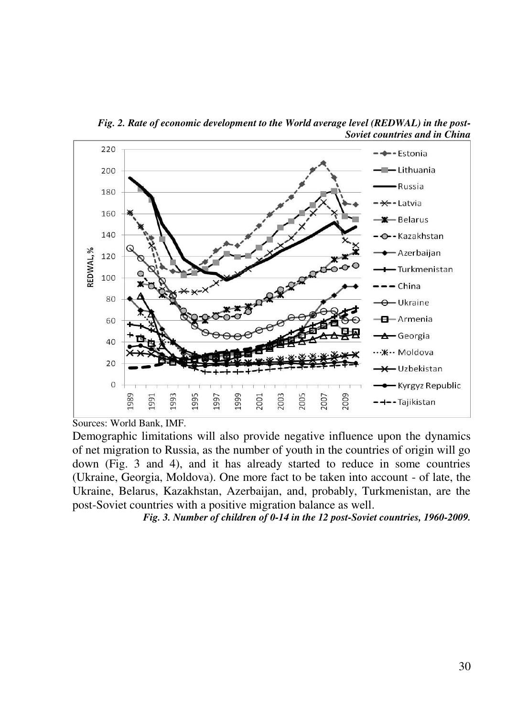

*Fig. 2. Rate of economic development to the World average level (REDWAL) in the post-Soviet countries and in China* 

Demographic limitations will also provide negative influence upon the dynamics of net migration to Russia, as the number of youth in the countries of origin will go down (Fig. 3 and 4), and it has already started to reduce in some countries (Ukraine, Georgia, Moldova). One more fact to be taken into account - of late, the Ukraine, Belarus, Kazakhstan, Azerbaijan, and, probably, Turkmenistan, are the post-Soviet countries with a positive migration balance as well.

*Fig. 3. Number of children of 0-14 in the 12 post-Soviet countries, 1960-2009.* 

Sources: World Bank, IMF.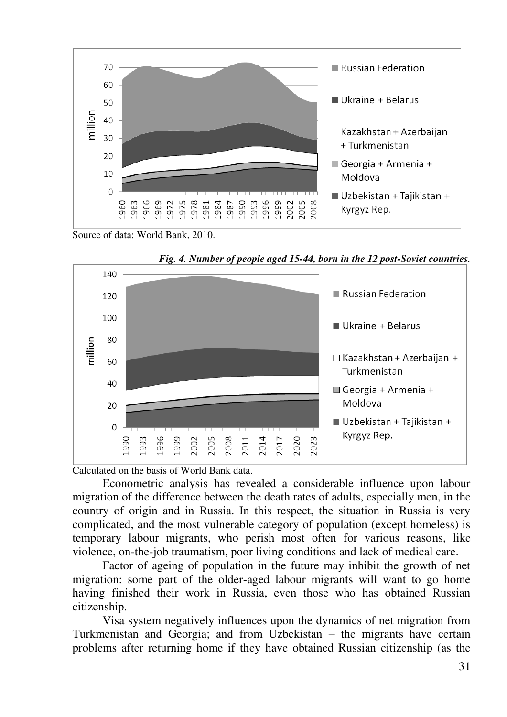

Source of data: World Bank, 2010.



*Fig. 4. Number of people aged 15-44, born in the 12 post-Soviet countries.* 

Calculated on the basis of World Bank data.

Econometric analysis has revealed a considerable influence upon labour migration of the difference between the death rates of adults, especially men, in the country of origin and in Russia. In this respect, the situation in Russia is very complicated, and the most vulnerable category of population (except homeless) is temporary labour migrants, who perish most often for various reasons, like violence, on-the-job traumatism, poor living conditions and lack of medical care.

Factor of ageing of population in the future may inhibit the growth of net migration: some part of the older-aged labour migrants will want to go home having finished their work in Russia, even those who has obtained Russian citizenship.

Visa system negatively influences upon the dynamics of net migration from Turkmenistan and Georgia; and from Uzbekistan – the migrants have certain problems after returning home if they have obtained Russian citizenship (as the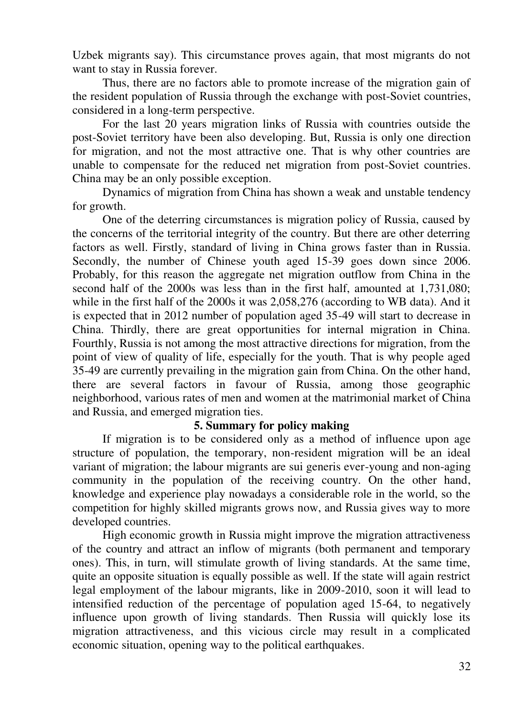Uzbek migrants say). This circumstance proves again, that most migrants do not want to stay in Russia forever.

Thus, there are no factors able to promote increase of the migration gain of the resident population of Russia through the exchange with post-Soviet countries, considered in a long-term perspective.

For the last 20 years migration links of Russia with countries outside the post-Soviet territory have been also developing. But, Russia is only one direction for migration, and not the most attractive one. That is why other countries are unable to compensate for the reduced net migration from post-Soviet countries. China may be an only possible exception.

Dynamics of migration from China has shown a weak and unstable tendency for growth.

One of the deterring circumstances is migration policy of Russia, caused by the concerns of the territorial integrity of the country. But there are other deterring factors as well. Firstly, standard of living in China grows faster than in Russia. Secondly, the number of Chinese youth aged 15-39 goes down since 2006. Probably, for this reason the aggregate net migration outflow from China in the second half of the 2000s was less than in the first half, amounted at 1,731,080; while in the first half of the 2000s it was 2,058,276 (according to WB data). And it is expected that in 2012 number of population aged 35-49 will start to decrease in China. Thirdly, there are great opportunities for internal migration in China. Fourthly, Russia is not among the most attractive directions for migration, from the point of view of quality of life, especially for the youth. That is why people aged 35-49 are currently prevailing in the migration gain from China. On the other hand, there are several factors in favour of Russia, among those geographic neighborhood, various rates of men and women at the matrimonial market of China and Russia, and emerged migration ties.

### **5. Summary for policy making**

If migration is to be considered only as a method of influence upon age structure of population, the temporary, non-resident migration will be an ideal variant of migration; the labour migrants are sui generis ever-young and non-aging community in the population of the receiving country. On the other hand, knowledge and experience play nowadays a considerable role in the world, so the competition for highly skilled migrants grows now, and Russia gives way to more developed countries.

High economic growth in Russia might improve the migration attractiveness of the country and attract an inflow of migrants (both permanent and temporary ones). This, in turn, will stimulate growth of living standards. At the same time, quite an opposite situation is equally possible as well. If the state will again restrict legal employment of the labour migrants, like in 2009-2010, soon it will lead to intensified reduction of the percentage of population aged 15-64, to negatively influence upon growth of living standards. Then Russia will quickly lose its migration attractiveness, and this vicious circle may result in a complicated economic situation, opening way to the political earthquakes.